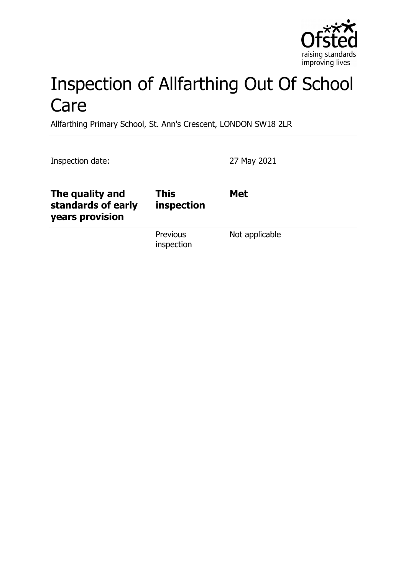

# Inspection of Allfarthing Out Of School Care

Allfarthing Primary School, St. Ann's Crescent, LONDON SW18 2LR

Inspection date: 27 May 2021

| The quality and<br>standards of early<br>years provision | <b>This</b><br>inspection | <b>Met</b>     |
|----------------------------------------------------------|---------------------------|----------------|
|                                                          | Previous<br>inspection    | Not applicable |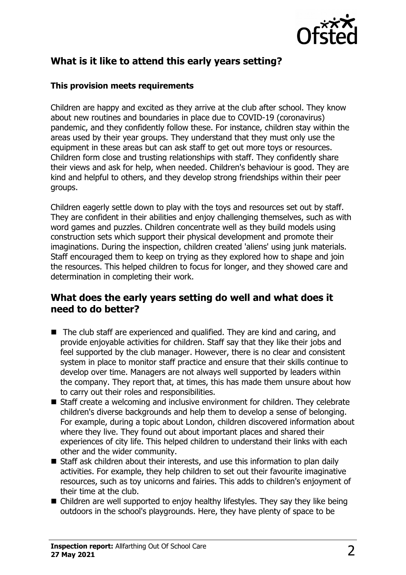

# **What is it like to attend this early years setting?**

#### **This provision meets requirements**

Children are happy and excited as they arrive at the club after school. They know about new routines and boundaries in place due to COVID-19 (coronavirus) pandemic, and they confidently follow these. For instance, children stay within the areas used by their year groups. They understand that they must only use the equipment in these areas but can ask staff to get out more toys or resources. Children form close and trusting relationships with staff. They confidently share their views and ask for help, when needed. Children's behaviour is good. They are kind and helpful to others, and they develop strong friendships within their peer groups.

Children eagerly settle down to play with the toys and resources set out by staff. They are confident in their abilities and enjoy challenging themselves, such as with word games and puzzles. Children concentrate well as they build models using construction sets which support their physical development and promote their imaginations. During the inspection, children created 'aliens' using junk materials. Staff encouraged them to keep on trying as they explored how to shape and join the resources. This helped children to focus for longer, and they showed care and determination in completing their work.

## **What does the early years setting do well and what does it need to do better?**

- $\blacksquare$  The club staff are experienced and qualified. They are kind and caring, and provide enjoyable activities for children. Staff say that they like their jobs and feel supported by the club manager. However, there is no clear and consistent system in place to monitor staff practice and ensure that their skills continue to develop over time. Managers are not always well supported by leaders within the company. They report that, at times, this has made them unsure about how to carry out their roles and responsibilities.
- $\blacksquare$  Staff create a welcoming and inclusive environment for children. They celebrate children's diverse backgrounds and help them to develop a sense of belonging. For example, during a topic about London, children discovered information about where they live. They found out about important places and shared their experiences of city life. This helped children to understand their links with each other and the wider community.
- $\blacksquare$  Staff ask children about their interests, and use this information to plan daily activities. For example, they help children to set out their favourite imaginative resources, such as toy unicorns and fairies. This adds to children's enjoyment of their time at the club.
- $\blacksquare$  Children are well supported to enjoy healthy lifestyles. They say they like being outdoors in the school's playgrounds. Here, they have plenty of space to be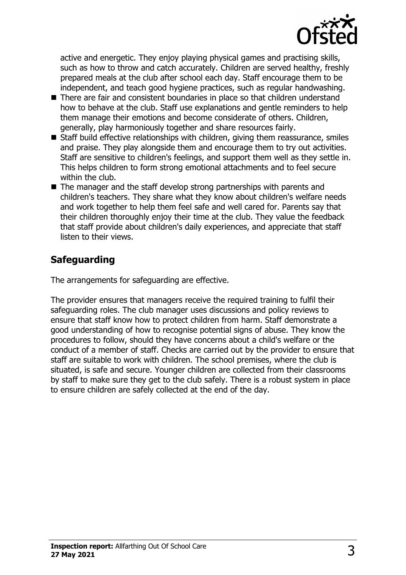

active and energetic. They enjoy playing physical games and practising skills, such as how to throw and catch accurately. Children are served healthy, freshly prepared meals at the club after school each day. Staff encourage them to be independent, and teach good hygiene practices, such as regular handwashing.

- There are fair and consistent boundaries in place so that children understand how to behave at the club. Staff use explanations and gentle reminders to help them manage their emotions and become considerate of others. Children, generally, play harmoniously together and share resources fairly.
- $\blacksquare$  Staff build effective relationships with children, giving them reassurance, smiles and praise. They play alongside them and encourage them to try out activities. Staff are sensitive to children's feelings, and support them well as they settle in. This helps children to form strong emotional attachments and to feel secure within the club.
- $\blacksquare$  The manager and the staff develop strong partnerships with parents and children's teachers. They share what they know about children's welfare needs and work together to help them feel safe and well cared for. Parents say that their children thoroughly enjoy their time at the club. They value the feedback that staff provide about children's daily experiences, and appreciate that staff listen to their views.

# **Safeguarding**

The arrangements for safeguarding are effective.

The provider ensures that managers receive the required training to fulfil their safeguarding roles. The club manager uses discussions and policy reviews to ensure that staff know how to protect children from harm. Staff demonstrate a good understanding of how to recognise potential signs of abuse. They know the procedures to follow, should they have concerns about a child's welfare or the conduct of a member of staff. Checks are carried out by the provider to ensure that staff are suitable to work with children. The school premises, where the club is situated, is safe and secure. Younger children are collected from their classrooms by staff to make sure they get to the club safely. There is a robust system in place to ensure children are safely collected at the end of the day.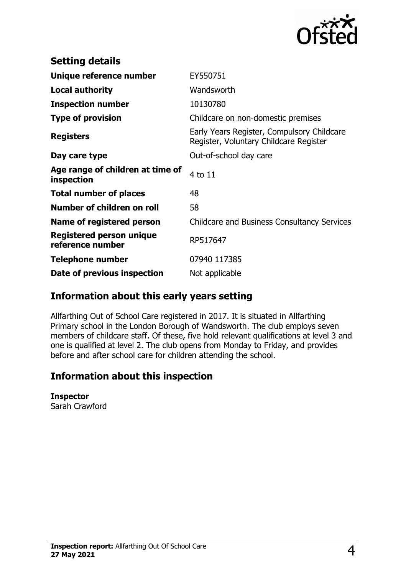

| <b>Setting details</b>                         |                                                                                      |  |
|------------------------------------------------|--------------------------------------------------------------------------------------|--|
| Unique reference number                        | EY550751                                                                             |  |
| <b>Local authority</b>                         | Wandsworth                                                                           |  |
| <b>Inspection number</b>                       | 10130780                                                                             |  |
| <b>Type of provision</b>                       | Childcare on non-domestic premises                                                   |  |
| <b>Registers</b>                               | Early Years Register, Compulsory Childcare<br>Register, Voluntary Childcare Register |  |
| Day care type                                  | Out-of-school day care                                                               |  |
| Age range of children at time of<br>inspection | 4 to 11                                                                              |  |
| <b>Total number of places</b>                  | 48                                                                                   |  |
| Number of children on roll                     | 58                                                                                   |  |
| Name of registered person                      | <b>Childcare and Business Consultancy Services</b>                                   |  |
| Registered person unique<br>reference number   | RP517647                                                                             |  |
| <b>Telephone number</b>                        | 07940 117385                                                                         |  |
| Date of previous inspection                    | Not applicable                                                                       |  |

## **Information about this early years setting**

Allfarthing Out of School Care registered in 2017. It is situated in Allfarthing Primary school in the London Borough of Wandsworth. The club employs seven members of childcare staff. Of these, five hold relevant qualifications at level 3 and one is qualified at level 2. The club opens from Monday to Friday, and provides before and after school care for children attending the school.

## **Information about this inspection**

#### **Inspector**

Sarah Crawford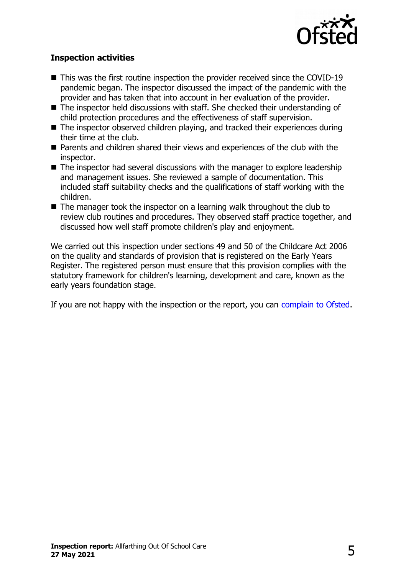

### **Inspection activities**

- $\blacksquare$  This was the first routine inspection the provider received since the COVID-19 pandemic began. The inspector discussed the impact of the pandemic with the provider and has taken that into account in her evaluation of the provider.
- $\blacksquare$  The inspector held discussions with staff. She checked their understanding of child protection procedures and the effectiveness of staff supervision.
- $\blacksquare$  The inspector observed children playing, and tracked their experiences during their time at the club.
- Parents and children shared their views and experiences of the club with the inspector.
- $\blacksquare$  The inspector had several discussions with the manager to explore leadership and management issues. She reviewed a sample of documentation. This included staff suitability checks and the qualifications of staff working with the children.
- $\blacksquare$  The manager took the inspector on a learning walk throughout the club to review club routines and procedures. They observed staff practice together, and discussed how well staff promote children's play and enjoyment.

We carried out this inspection under sections 49 and 50 of the Childcare Act 2006 on the quality and standards of provision that is registered on the Early Years Register. The registered person must ensure that this provision complies with the statutory framework for children's learning, development and care, known as the early years foundation stage.

If you are not happy with the inspection or the report, you can [complain to Ofsted.](http://www.gov.uk/complain-ofsted-report)